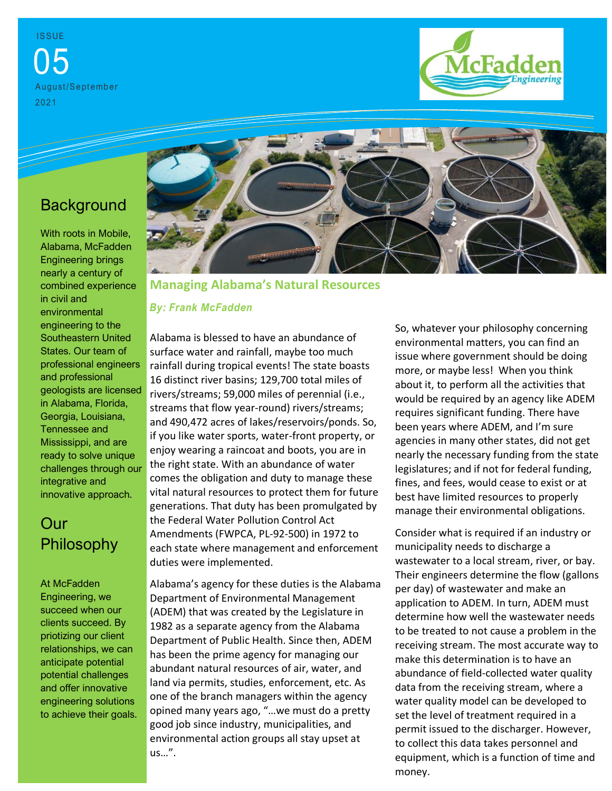**ISSUE** 05 August/September 2021



# **Background**

With roots in Mobile, Alabama, McFadden Engineering brings nearly a century of combined experience in civil and environmental engineering to the Southeastern United States. Our team of professional engineers and professional geologists are licensed in Alabama, Florida, Georgia, Louisiana, Tennessee and Mississippi, and are ready to solve unique challenges through our integrative and innovative approach.

### Our Philosophy

At McFadden Engineering, we succeed when our clients succeed. By priotizing our client relationships, we can anticipate potential potential challenges and offer innovative engineering solutions to achieve their goals.



**Managing Alabama's Natural Resources**

#### *By: Frank McFadden*

Alabama is blessed to have an abundance of surface water and rainfall, maybe too much rainfall during tropical events! The state boasts 16 distinct river basins; 129,700 total miles of rivers/streams; 59,000 miles of perennial (i.e., streams that flow year-round) rivers/streams; and 490,472 acres of lakes/reservoirs/ponds. So, if you like water sports, water-front property, or enjoy wearing a raincoat and boots, you are in the right state. With an abundance of water comes the obligation and duty to manage these vital natural resources to protect them for future generations. That duty has been promulgated by the Federal Water Pollution Control Act Amendments (FWPCA, PL-92-500) in 1972 to each state where management and enforcement duties were implemented.

Alabama's agency for these duties is the Alabama Department of Environmental Management (ADEM) that was created by the Legislature in 1982 as a separate agency from the Alabama Department of Public Health. Since then, ADEM has been the prime agency for managing our abundant natural resources of air, water, and land via permits, studies, enforcement, etc. As one of the branch managers within the agency opined many years ago, "…we must do a pretty good job since industry, municipalities, and environmental action groups all stay upset at us…".

So, whatever your philosophy concerning environmental matters, you can find an issue where government should be doing more, or maybe less! When you think about it, to perform all the activities that would be required by an agency like ADEM requires significant funding. There have been years where ADEM, and I'm sure agencies in many other states, did not get nearly the necessary funding from the state legislatures; and if not for federal funding, fines, and fees, would cease to exist or at best have limited resources to properly manage their environmental obligations.

Consider what is required if an industry or municipality needs to discharge a wastewater to a local stream, river, or bay. Their engineers determine the flow (gallons per day) of wastewater and make an application to ADEM. In turn, ADEM must determine how well the wastewater needs to be treated to not cause a problem in the receiving stream. The most accurate way to make this determination is to have an abundance of field-collected water quality data from the receiving stream, where a water quality model can be developed to set the level of treatment required in a permit issued to the discharger. However, to collect this data takes personnel and equipment, which is a function of time and money.